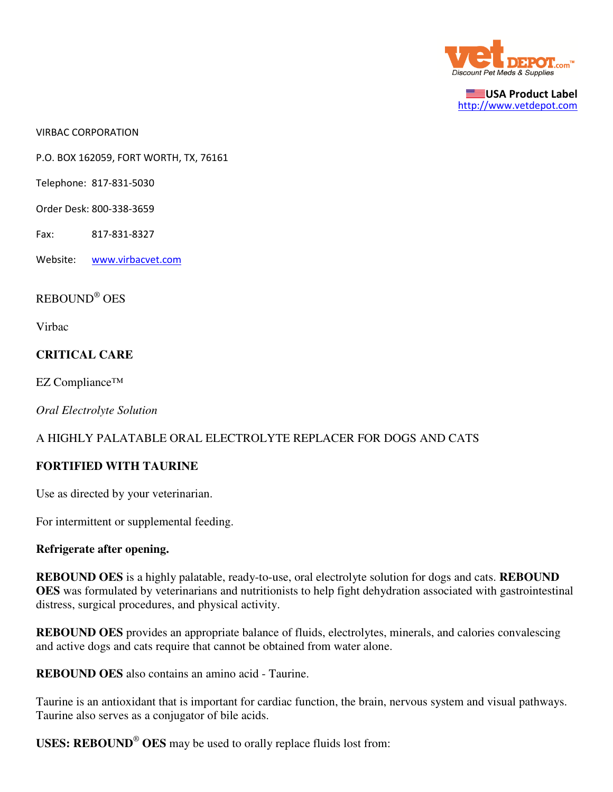

USA Product Label http://www.vetdepot.com

VIRBAC CORPORATION

P.O. BOX 162059, FORT WORTH, TX, 76161

Telephone: 817-831-5030

Order Desk: 800-338-3659

Fax: 817-831-8327

Website: www.virbacvet.com

# REBOUND® OES

Virbac

### **CRITICAL CARE**

EZ Compliance™

*Oral Electrolyte Solution*

### A HIGHLY PALATABLE ORAL ELECTROLYTE REPLACER FOR DOGS AND CATS

### **FORTIFIED WITH TAURINE**

Use as directed by your veterinarian.

For intermittent or supplemental feeding.

### **Refrigerate after opening.**

**REBOUND OES** is a highly palatable, ready-to-use, oral electrolyte solution for dogs and cats. **REBOUND OES** was formulated by veterinarians and nutritionists to help fight dehydration associated with gastrointestinal distress, surgical procedures, and physical activity.

**REBOUND OES** provides an appropriate balance of fluids, electrolytes, minerals, and calories convalescing and active dogs and cats require that cannot be obtained from water alone.

**REBOUND OES** also contains an amino acid - Taurine.

Taurine is an antioxidant that is important for cardiac function, the brain, nervous system and visual pathways. Taurine also serves as a conjugator of bile acids.

**USES: REBOUND**®  **OES** may be used to orally replace fluids lost from: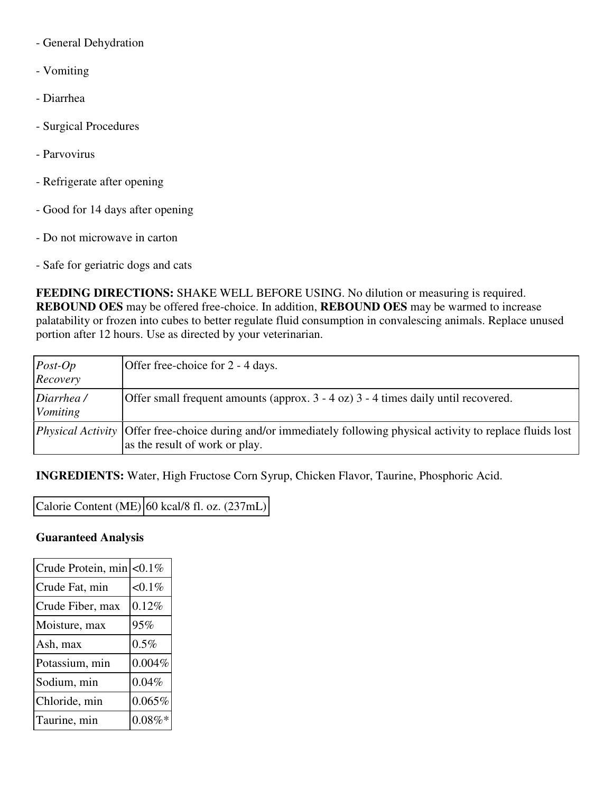- General Dehydration
- Vomiting
- Diarrhea
- Surgical Procedures
- Parvovirus
- Refrigerate after opening
- Good for 14 days after opening
- Do not microwave in carton
- Safe for geriatric dogs and cats

**FEEDING DIRECTIONS:** SHAKE WELL BEFORE USING. No dilution or measuring is required. **REBOUND OES** may be offered free-choice. In addition, **REBOUND OES** may be warmed to increase palatability or frozen into cubes to better regulate fluid consumption in convalescing animals. Replace unused portion after 12 hours. Use as directed by your veterinarian.

| $Post-Op$<br>Recovery | Offer free-choice for 2 - 4 days.                                                                                                                         |
|-----------------------|-----------------------------------------------------------------------------------------------------------------------------------------------------------|
| Diarrhea/<br>Vomiting | Offer small frequent amounts (approx. $3 - 4$ oz) $3 - 4$ times daily until recovered.                                                                    |
|                       | <i>Physical Activity</i> Offer free-choice during and/or immediately following physical activity to replace fluids lost<br>as the result of work or play. |

**INGREDIENTS:** Water, High Fructose Corn Syrup, Chicken Flavor, Taurine, Phosphoric Acid.

Calorie Content (ME)  $|60 \text{ kcal/8 fl. oz.} (237 \text{ mL})|$ 

## **Guaranteed Analysis**

| Crude Protein, min | $< 0.1\%$ |
|--------------------|-----------|
| Crude Fat, min     | $< 0.1\%$ |
| Crude Fiber, max   | 0.12%     |
| Moisture, max      | 95%       |
| Ash, max           | 0.5%      |
| Potassium, min     | 0.004%    |
| Sodium, min        | 0.04%     |
| Chloride, min      | $0.065\%$ |
| Taurine, min       | $0.08\%*$ |